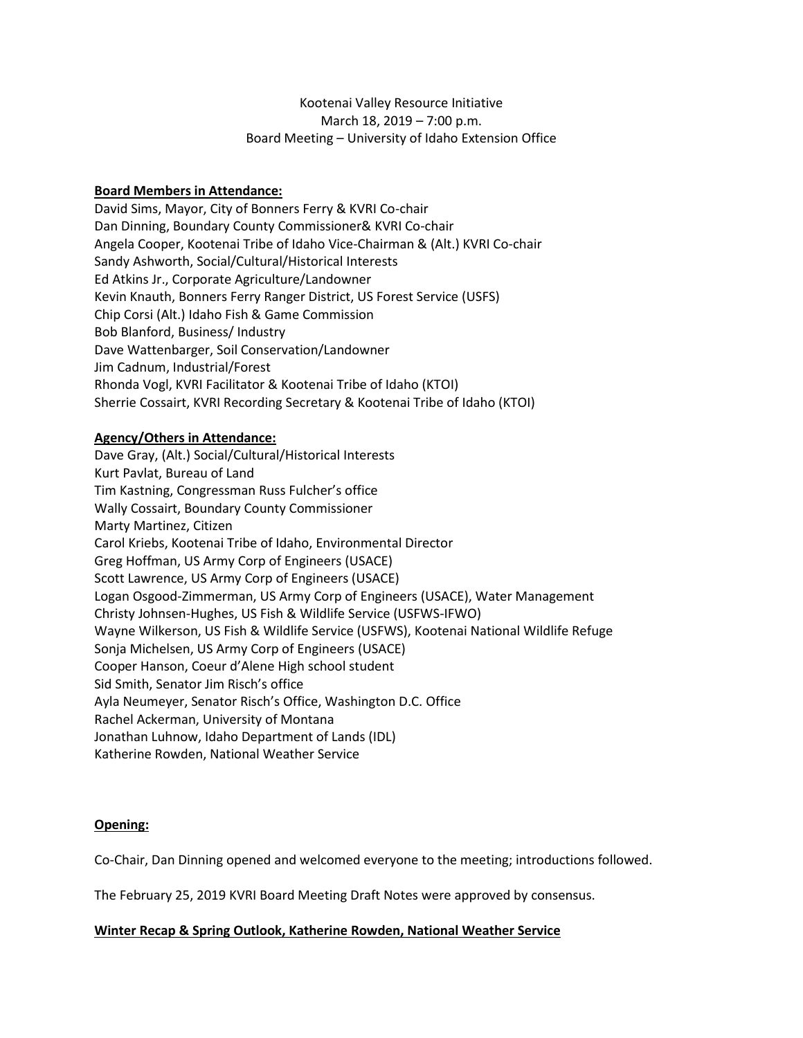# Kootenai Valley Resource Initiative March 18, 2019 – 7:00 p.m. Board Meeting – University of Idaho Extension Office

## **Board Members in Attendance:**

David Sims, Mayor, City of Bonners Ferry & KVRI Co-chair Dan Dinning, Boundary County Commissioner& KVRI Co-chair Angela Cooper, Kootenai Tribe of Idaho Vice-Chairman & (Alt.) KVRI Co-chair Sandy Ashworth, Social/Cultural/Historical Interests Ed Atkins Jr., Corporate Agriculture/Landowner Kevin Knauth, Bonners Ferry Ranger District, US Forest Service (USFS) Chip Corsi (Alt.) Idaho Fish & Game Commission Bob Blanford, Business/ Industry Dave Wattenbarger, Soil Conservation/Landowner Jim Cadnum, Industrial/Forest Rhonda Vogl, KVRI Facilitator & Kootenai Tribe of Idaho (KTOI) Sherrie Cossairt, KVRI Recording Secretary & Kootenai Tribe of Idaho (KTOI)

## **Agency/Others in Attendance:**

Dave Gray, (Alt.) Social/Cultural/Historical Interests Kurt Pavlat, Bureau of Land Tim Kastning, Congressman Russ Fulcher's office Wally Cossairt, Boundary County Commissioner Marty Martinez, Citizen Carol Kriebs, Kootenai Tribe of Idaho, Environmental Director Greg Hoffman, US Army Corp of Engineers (USACE) Scott Lawrence, US Army Corp of Engineers (USACE) Logan Osgood-Zimmerman, US Army Corp of Engineers (USACE), Water Management Christy Johnsen-Hughes, US Fish & Wildlife Service (USFWS-IFWO) Wayne Wilkerson, US Fish & Wildlife Service (USFWS), Kootenai National Wildlife Refuge Sonja Michelsen, US Army Corp of Engineers (USACE) Cooper Hanson, Coeur d'Alene High school student Sid Smith, Senator Jim Risch's office Ayla Neumeyer, Senator Risch's Office, Washington D.C. Office Rachel Ackerman, University of Montana Jonathan Luhnow, Idaho Department of Lands (IDL) Katherine Rowden, National Weather Service

## **Opening:**

Co-Chair, Dan Dinning opened and welcomed everyone to the meeting; introductions followed.

The February 25, 2019 KVRI Board Meeting Draft Notes were approved by consensus.

## **Winter Recap & Spring Outlook, Katherine Rowden, National Weather Service**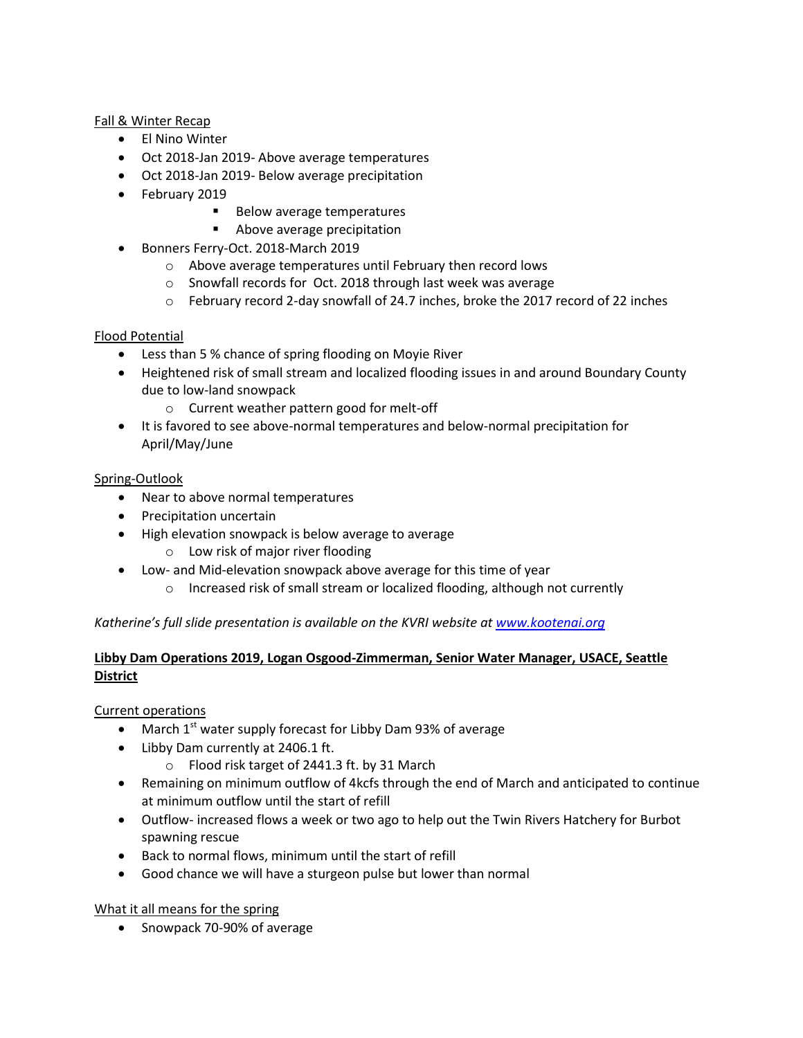## Fall & Winter Recap

- El Nino Winter
- Oct 2018-Jan 2019- Above average temperatures
- Oct 2018-Jan 2019- Below average precipitation
- February 2019
	- Below average temperatures
	- **Above average precipitation**
- Bonners Ferry-Oct. 2018-March 2019
	- o Above average temperatures until February then record lows
	- o Snowfall records for Oct. 2018 through last week was average
	- $\circ$  February record 2-day snowfall of 24.7 inches, broke the 2017 record of 22 inches

# Flood Potential

- Less than 5 % chance of spring flooding on Moyie River
- Heightened risk of small stream and localized flooding issues in and around Boundary County due to low-land snowpack
	- o Current weather pattern good for melt-off
- It is favored to see above-normal temperatures and below-normal precipitation for April/May/June

# Spring-Outlook

- Near to above normal temperatures
- Precipitation uncertain
- High elevation snowpack is below average to average
	- o Low risk of major river flooding
- Low- and Mid-elevation snowpack above average for this time of year
	- o Increased risk of small stream or localized flooding, although not currently

# *Katherine's full slide presentation is available on the KVRI website at [www.kootenai.org](http://www.kootenai.org/)*

# **Libby Dam Operations 2019, Logan Osgood-Zimmerman, Senior Water Manager, USACE, Seattle District**

Current operations

- March  $1^{st}$  water supply forecast for Libby Dam 93% of average
- Libby Dam currently at 2406.1 ft.
	- o Flood risk target of 2441.3 ft. by 31 March
- Remaining on minimum outflow of 4kcfs through the end of March and anticipated to continue at minimum outflow until the start of refill
- Outflow- increased flows a week or two ago to help out the Twin Rivers Hatchery for Burbot spawning rescue
- Back to normal flows, minimum until the start of refill
- Good chance we will have a sturgeon pulse but lower than normal

What it all means for the spring

• Snowpack 70-90% of average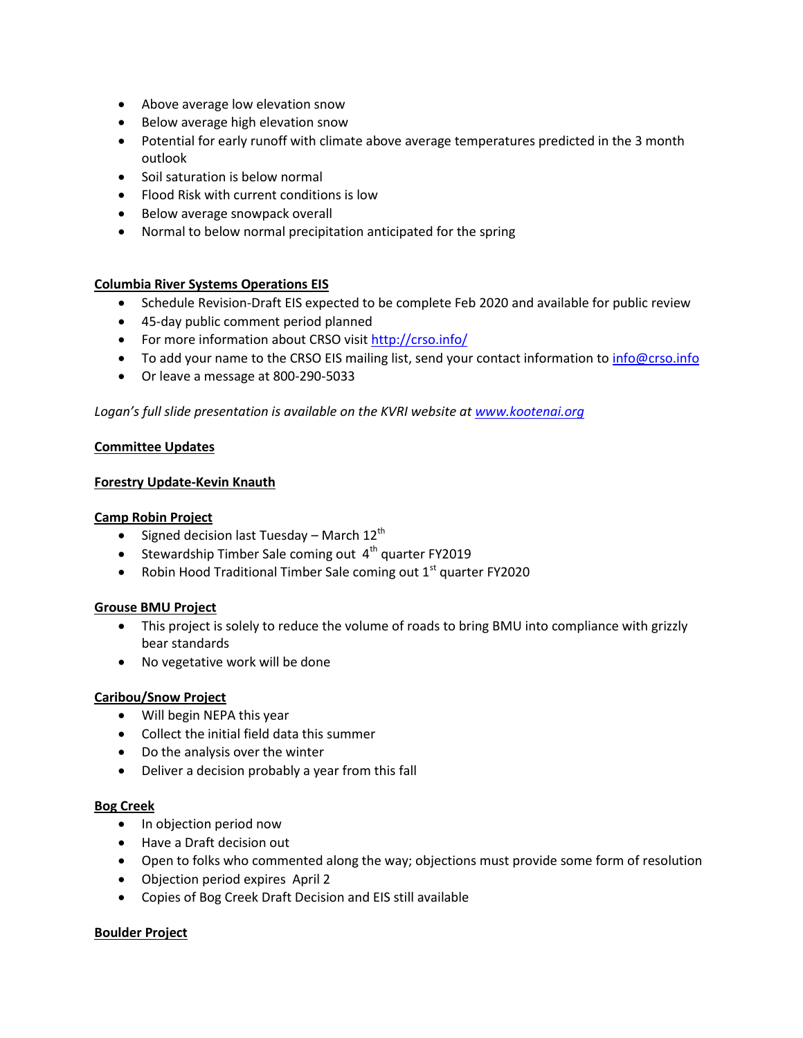- Above average low elevation snow
- Below average high elevation snow
- Potential for early runoff with climate above average temperatures predicted in the 3 month outlook
- Soil saturation is below normal
- Flood Risk with current conditions is low
- Below average snowpack overall
- Normal to below normal precipitation anticipated for the spring

## **Columbia River Systems Operations EIS**

- Schedule Revision-Draft EIS expected to be complete Feb 2020 and available for public review
- 45-day public comment period planned
- For more information about CRSO visit<http://crso.info/>
- To add your name to the CRSO EIS mailing list, send your contact information to [info@crso.info](mailto:info@crso.info)
- Or leave a message at 800-290-5033

Logan's full slide presentation is available on the KVRI website at [www.kootenai.org](http://www.kootenai.org/)

#### **Committee Updates**

#### **Forestry Update-Kevin Knauth**

#### **Camp Robin Project**

- Signed decision last Tuesday March  $12^{th}$
- Stewardship Timber Sale coming out  $4<sup>th</sup>$  quarter FY2019
- Robin Hood Traditional Timber Sale coming out  $1<sup>st</sup>$  quarter FY2020

## **Grouse BMU Project**

- This project is solely to reduce the volume of roads to bring BMU into compliance with grizzly bear standards
- No vegetative work will be done

## **Caribou/Snow Project**

- Will begin NEPA this year
- Collect the initial field data this summer
- Do the analysis over the winter
- Deliver a decision probably a year from this fall

#### **Bog Creek**

- In objection period now
- Have a Draft decision out
- Open to folks who commented along the way; objections must provide some form of resolution
- Objection period expires April 2
- Copies of Bog Creek Draft Decision and EIS still available

## **Boulder Project**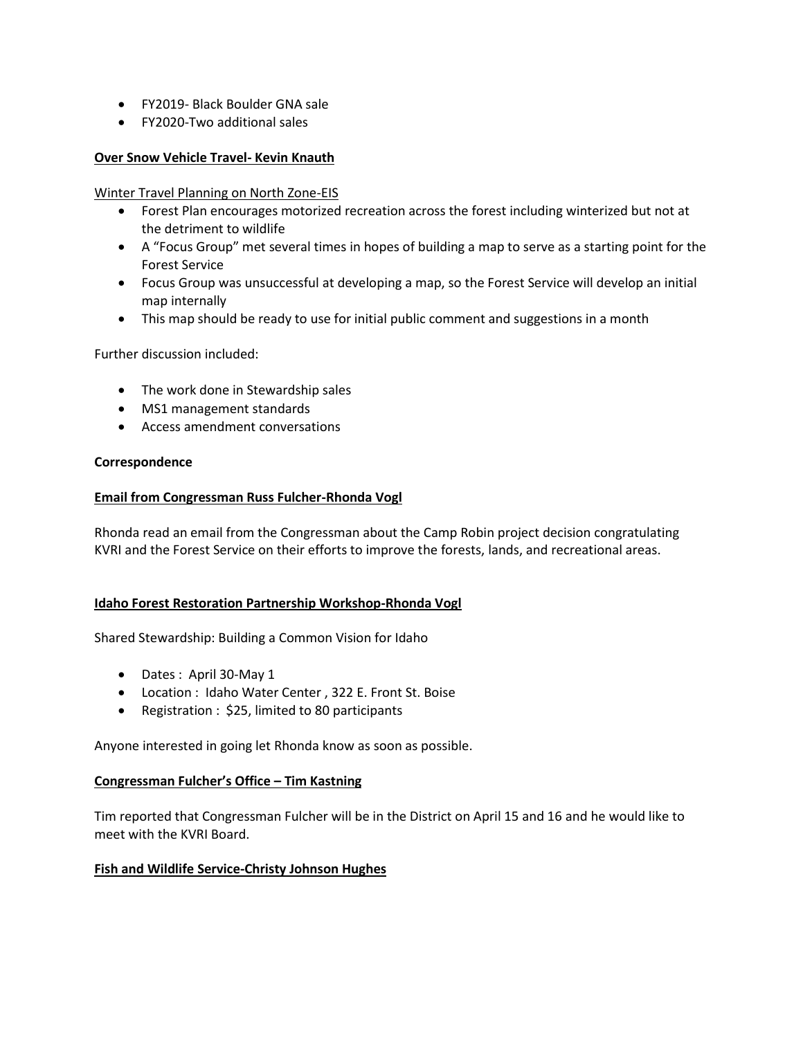- FY2019- Black Boulder GNA sale
- FY2020-Two additional sales

#### **Over Snow Vehicle Travel- Kevin Knauth**

Winter Travel Planning on North Zone-EIS

- Forest Plan encourages motorized recreation across the forest including winterized but not at the detriment to wildlife
- A "Focus Group" met several times in hopes of building a map to serve as a starting point for the Forest Service
- Focus Group was unsuccessful at developing a map, so the Forest Service will develop an initial map internally
- This map should be ready to use for initial public comment and suggestions in a month

Further discussion included:

- The work done in Stewardship sales
- MS1 management standards
- Access amendment conversations

#### **Correspondence**

#### **Email from Congressman Russ Fulcher-Rhonda Vogl**

Rhonda read an email from the Congressman about the Camp Robin project decision congratulating KVRI and the Forest Service on their efforts to improve the forests, lands, and recreational areas.

#### **Idaho Forest Restoration Partnership Workshop-Rhonda Vogl**

Shared Stewardship: Building a Common Vision for Idaho

- Dates : April 30-May 1
- Location : Idaho Water Center , 322 E. Front St. Boise
- Registration : \$25, limited to 80 participants

Anyone interested in going let Rhonda know as soon as possible.

#### **Congressman Fulcher's Office – Tim Kastning**

Tim reported that Congressman Fulcher will be in the District on April 15 and 16 and he would like to meet with the KVRI Board.

## **Fish and Wildlife Service-Christy Johnson Hughes**